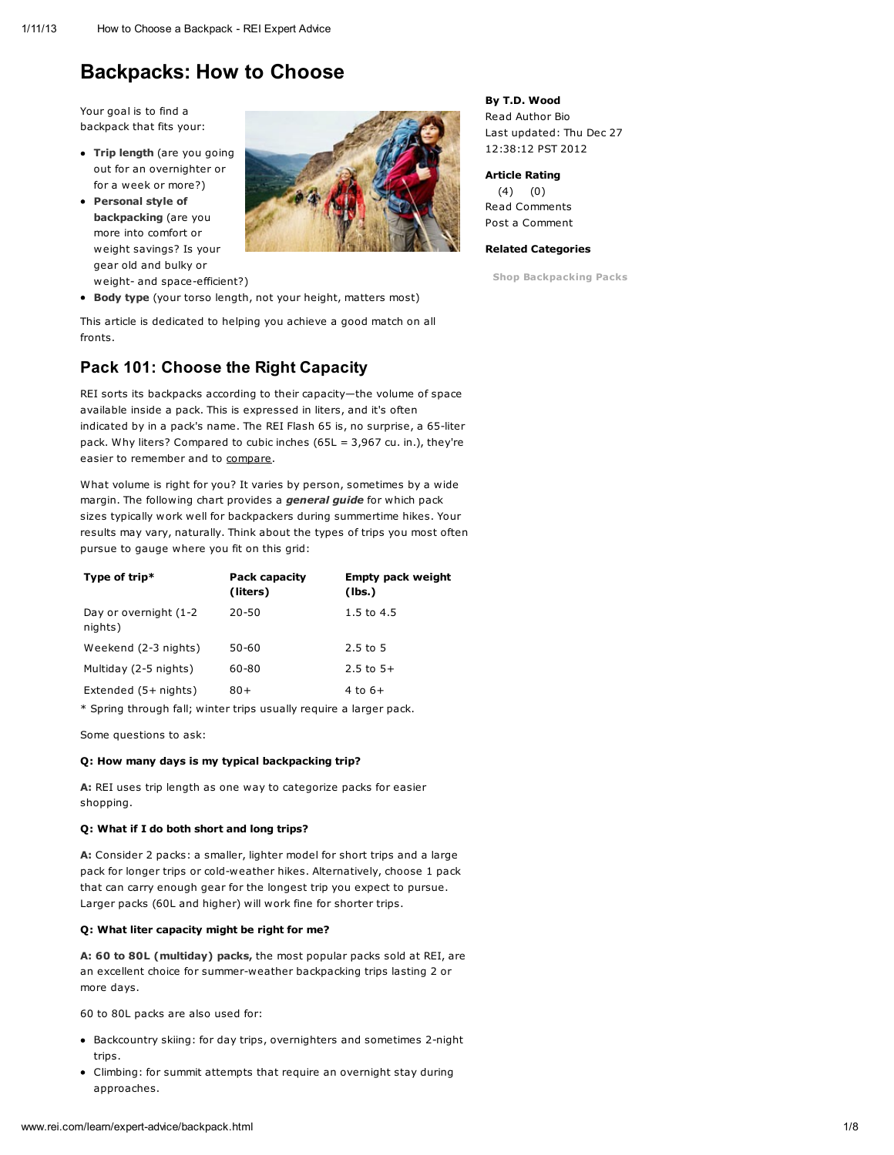# Backpacks: How to Choose

Your goal is to find a backpack that fits your:

- Trip length (are you going out for an overnighter or for a week or more?)
- Personal style of backpacking (are you more into comfort or weight savings? Is your gear old and bulky or weight- and space-efficient?)



**Body type** (your torso length, not your height, matters most)

This article is dedicated to helping you achieve a good match on all fronts.

# Pack 101: Choose the Right Capacity

REI sorts its backpacks according to their capacity—the volume of space available inside a pack. This is expressed in liters, and it's often indicated by in a pack's name. The REI Flash 65 is, no surprise, a 65-liter pack. Why liters? Compared to cubic inches (65L = 3,967 cu. in.), they're easier to remember and to [compare](http://www.rei.com/learn/expert-advice/backpack.html#).

What volume is right for you? It varies by person, sometimes by a wide margin. The following chart provides a *general guide* for which pack sizes typically work well for backpackers during summertime hikes. Your results may vary, naturally. Think about the types of trips you most often pursue to gauge where you fit on this grid:

| Type of trip $*$                  | <b>Pack capacity</b><br>(liters) | <b>Empty pack weight</b><br>(lbs.) |
|-----------------------------------|----------------------------------|------------------------------------|
| Day or overnight (1-2)<br>nights) | $20 - 50$                        | 1.5 to $4.5$                       |
| Weekend (2-3 nights)              | 50-60                            | $2.5$ to $5$                       |
| Multiday (2-5 nights)             | 60-80                            | $2.5$ to $5+$                      |
| Extended (5+ nights)              | $80+$                            | $4$ to $6+$                        |

\* Spring through fall; winter trips usually require a larger pack.

Some questions to ask:

#### Q: How many days is my typical backpacking trip?

A: REI uses trip length as one way to categorize packs for easier shopping.

#### Q: What if I do both short and long trips?

A: Consider 2 packs: a smaller, lighter model for short trips and a large pack for longer trips or cold-weather hikes. Alternatively, choose 1 pack that can carry enough gear for the longest trip you expect to pursue. Larger packs (60L and higher) will work fine for shorter trips.

#### Q: What liter capacity might be right for me?

A: 60 to 80L (multiday) packs, the most popular packs sold at REI, are an excellent choice for summer-weather backpacking trips lasting 2 or more days.

60 to 80L packs are also used for:

- Backcountry skiing: for day trips, overnighters and sometimes 2-night trips.
- Climbing: for summit attempts that require an overnight stay during approaches.

### By T.D. Wood Read [Author](http://www.rei.com/learn/author-bios/t-d-wood.html) Bio Last updated: Thu Dec 27

12:38:12 PST 2012

#### Article Rating (4) (0)

Read [Comments](http://www.rei.com/learn/expert-advice/backpack.html#anchor_comments) Post a [Comment](http://www.rei.com/learn/expert-advice/backpack.html#anchor_comments)

#### Related Categories

Shop [Backpacking](http://www.rei.com/category/4500053) Packs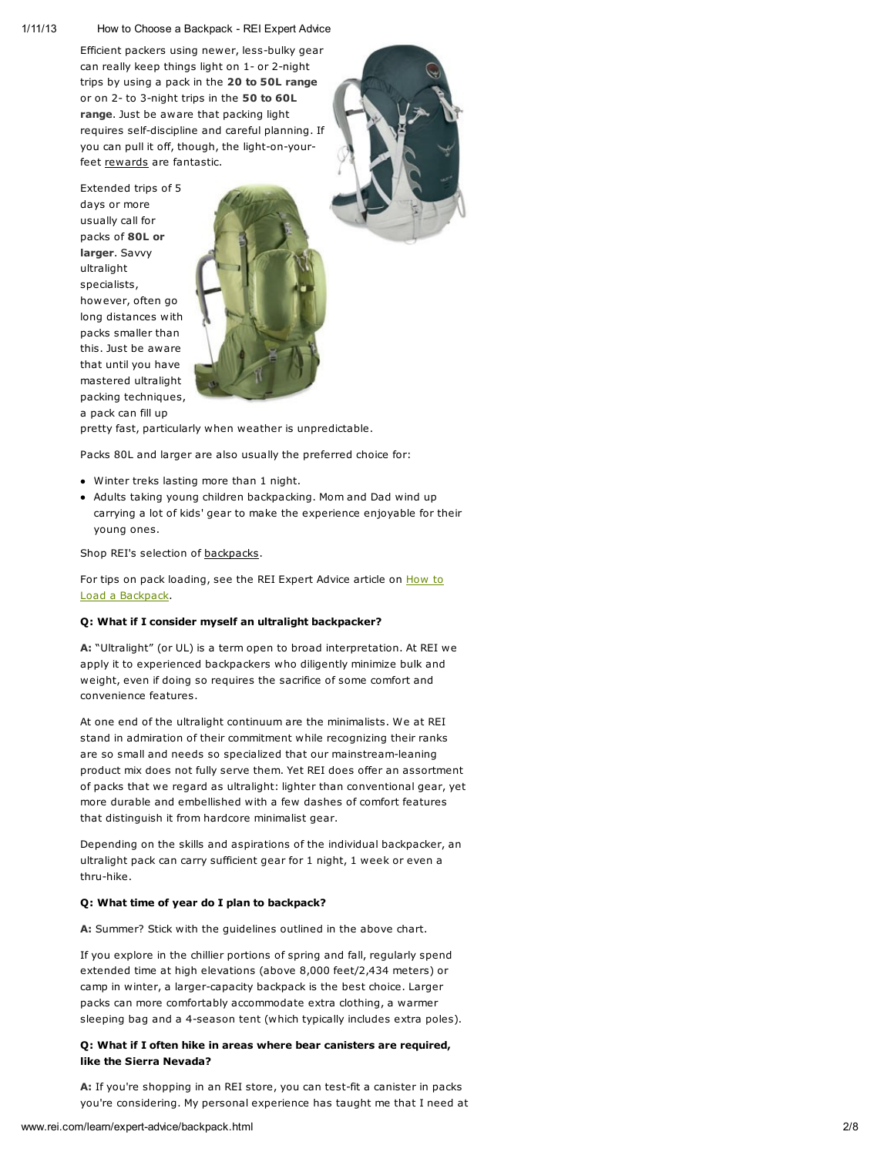Efficient packers using newer, less-bulky gear can really keep things light on 1- or 2-night trips by using a pack in the 20 to 50L range or on 2- to 3-night trips in the 50 to 60L range. Just be aware that packing light requires self-discipline and careful planning. If you can pull it off, though, the light-on-yourfeet [rewards](http://www.rei.com/learn/expert-advice/backpack.html#) are fantastic.

Extended trips of 5 days or more usually call for packs of 80L or larger. Savvy ultralight specialists, however, often go long distances with packs smaller than this. Just be aware that until you have mastered ultralight packing techniques, a pack can fill up



pretty fast, particularly when weather is unpredictable.

Packs 80L and larger are also usually the preferred choice for:

- Winter treks lasting more than 1 night.
- Adults taking young children backpacking. Mom and Dad wind up carrying a lot of kids' gear to make the experience enjoyable for their young ones.

Shop REI's selection of [backpacks.](http://www.rei.com/category/4500001_Backpacks)

For tips on pack loading, see the REI Expert Advice article on **How to** Load a [Backpack.](http://www.rei.com/learn/expert-advice/loading-backpack.html)

#### Q: What if I consider myself an ultralight backpacker?

A: "Ultralight" (or UL) is a term open to broad interpretation. At REI we apply it to experienced backpackers who diligently minimize bulk and weight, even if doing so requires the sacrifice of some comfort and convenience features.

At one end of the ultralight continuum are the minimalists. We at REI stand in admiration of their commitment while recognizing their ranks are so small and needs so specialized that our mainstream-leaning product mix does not fully serve them. Yet REI does offer an assortment of packs that we regard as ultralight: lighter than conventional gear, yet more durable and embellished with a few dashes of comfort features that distinguish it from hardcore minimalist gear.

Depending on the skills and aspirations of the individual backpacker, an ultralight pack can carry sufficient gear for 1 night, 1 week or even a thru-hike.

#### Q: What time of year do I plan to backpack?

A: Summer? Stick with the guidelines outlined in the above chart.

If you explore in the chillier portions of spring and fall, regularly spend extended time at high elevations (above 8,000 feet/2,434 meters) or camp in winter, a larger-capacity backpack is the best choice. Larger packs can more comfortably accommodate extra clothing, a warmer sleeping bag and a 4-season tent (which typically includes extra poles).

### Q: What if I often hike in areas where bear canisters are required, like the Sierra Nevada?

A: If you're shopping in an REI store, you can test-fit a canister in packs you're considering. My personal experience has taught me that I need at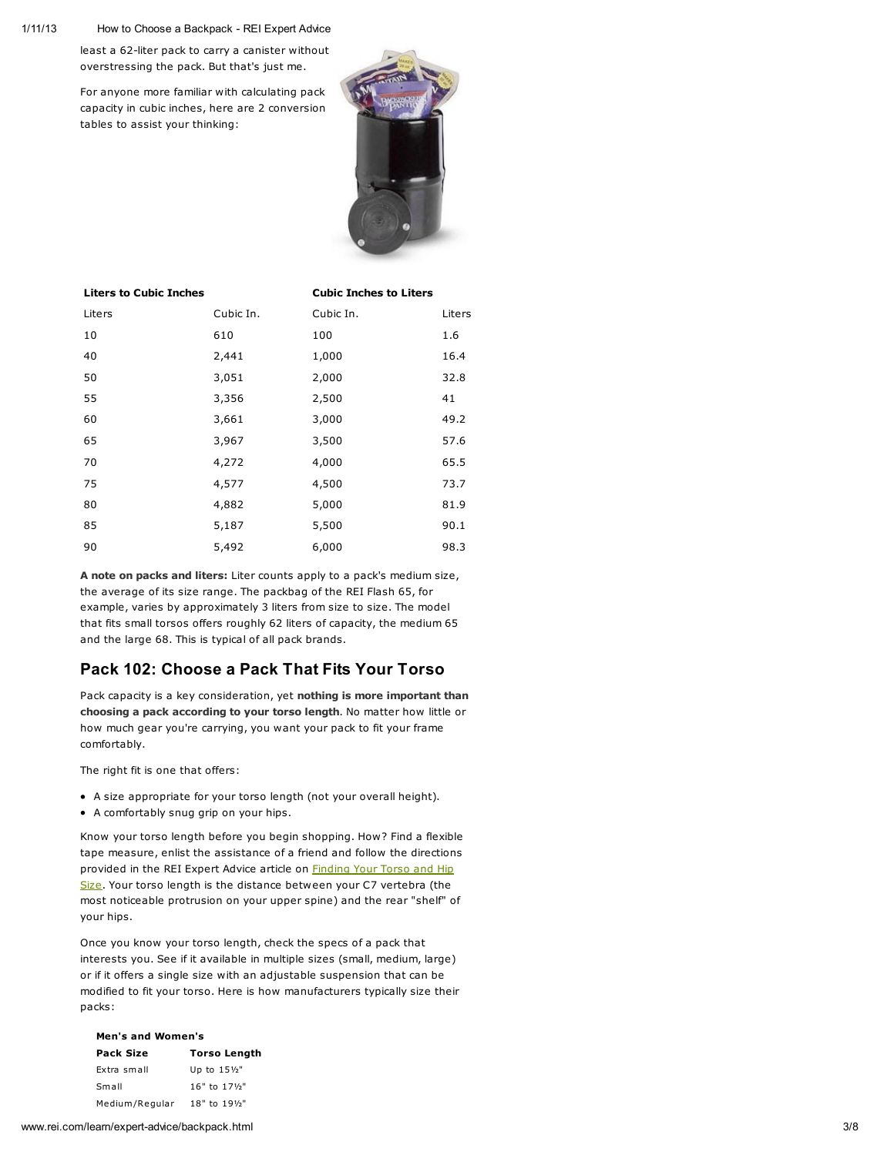least a 62-liter pack to carry a canister without overstressing the pack. But that's just me.

For anyone more familiar with calculating pack capacity in cubic inches, here are 2 conversion tables to assist your thinking:



#### Liters to Cubic Inches Cubic Inches to Liters

| Liters | Cubic In. | Cubic In. | Liters |
|--------|-----------|-----------|--------|
| 10     | 610       | 100       | 1.6    |
| 40     | 2,441     | 1,000     | 16.4   |
| 50     | 3,051     | 2,000     | 32.8   |
| 55     | 3,356     | 2,500     | 41     |
| 60     | 3,661     | 3,000     | 49.2   |
| 65     | 3,967     | 3,500     | 57.6   |
| 70     | 4,272     | 4,000     | 65.5   |
| 75     | 4,577     | 4,500     | 73.7   |
| 80     | 4,882     | 5,000     | 81.9   |
| 85     | 5,187     | 5,500     | 90.1   |
| 90     | 5,492     | 6,000     | 98.3   |

A note on packs and liters: Liter counts apply to a pack's medium size, the average of its size range. The packbag of the REI Flash 65, for example, varies by approximately 3 liters from size to size. The model that fits small torsos offers roughly 62 liters of capacity, the medium 65 and the large 68. This is typical of all pack brands.

### Pack 102: Choose a Pack That Fits Your Torso

Pack capacity is a key consideration, yet nothing is more important than choosing a pack according to your torso length. No matter how little or how much gear you're carrying, you want your pack to fit your frame comfortably.

The right fit is one that offers:

- A size appropriate for your torso length (not your overall height).
- A comfortably snug grip on your hips.

Know your torso length before you begin shopping. How? Find a flexible tape measure, enlist the assistance of a friend and follow the directions provided in the REI Expert Advice article on **Finding Your Torso and Hip** Size. Your torso length is the distance [between](http://www.rei.com/learn/expert-advice/backpacks-torso-hip-size.html) your C7 vertebra (the most noticeable protrusion on your upper spine) and the rear "shelf" of your hips.

Once you know your torso length, check the specs of a pack that interests you. See if it available in multiple sizes (small, medium, large) or if it offers a single size with an adjustable suspension that can be modified to fit your torso. Here is how manufacturers typically size their packs:

| <b>Men's and Women's</b> |                          |  |
|--------------------------|--------------------------|--|
| <b>Pack Size</b>         | <b>Torso Length</b>      |  |
| Extra small              | Up to 151/2"             |  |
| Small                    | $16"$ to $17\frac{1}{2}$ |  |
| Medium/Regular           | 18" to 191/2"            |  |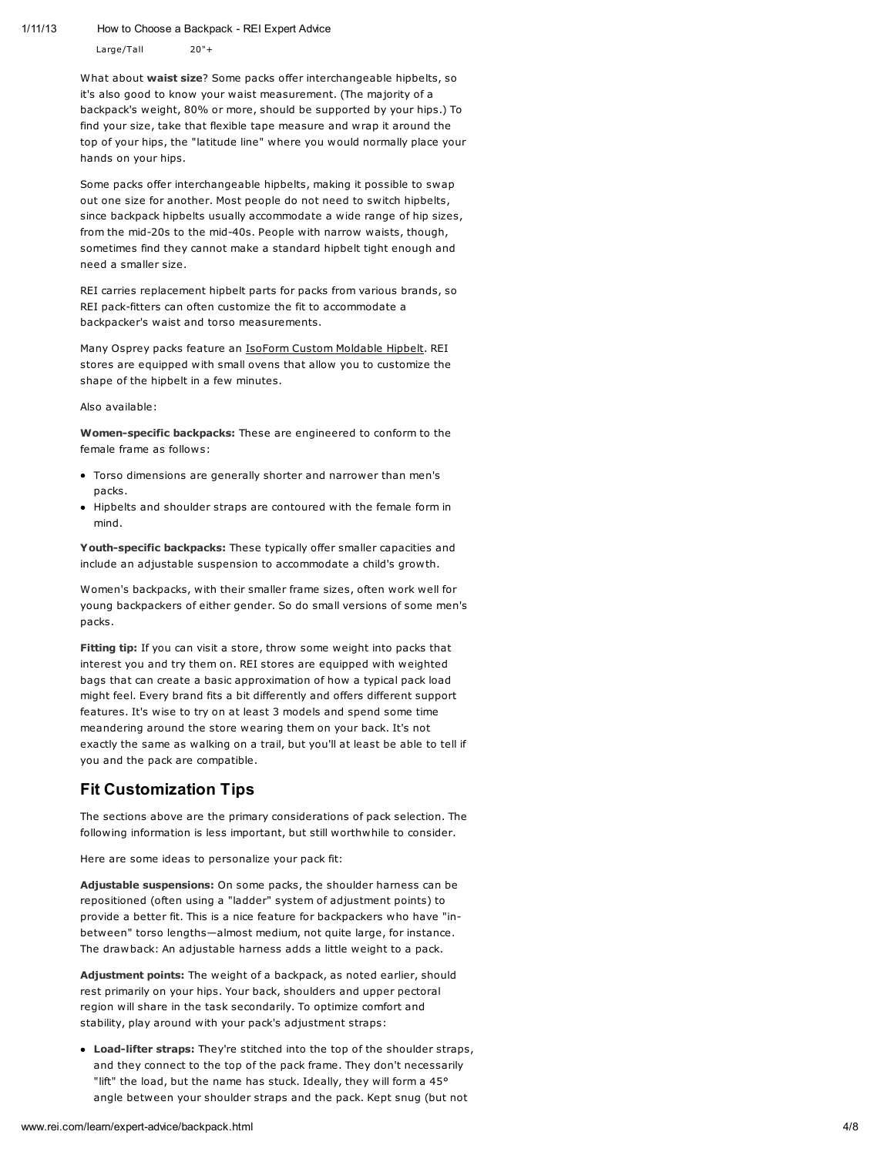Large/Tall 20"+

What about waist size? Some packs offer interchangeable hipbelts, so it's also good to know your waist measurement. (The majority of a backpack's weight, 80% or more, should be supported by your hips.) To find your size, take that flexible tape measure and wrap it around the top of your hips, the "latitude line" where you would normally place your hands on your hips.

Some packs offer interchangeable hipbelts, making it possible to swap out one size for another. Most people do not need to switch hipbelts, since backpack hipbelts usually accommodate a wide range of hip sizes, from the mid-20s to the mid-40s. People with narrow waists, though, sometimes find they cannot make a standard hipbelt tight enough and need a smaller size.

REI carries replacement hipbelt parts for packs from various brands, so REI pack-fitters can often customize the fit to accommodate a backpacker's waist and torso measurements.

Many Osprey packs feature an IsoForm Custom [Moldable](http://www.rei.com/product/748425) Hipbelt. REI stores are equipped with small ovens that allow you to customize the shape of the hipbelt in a few minutes.

Also available:

Women-specific backpacks: These are engineered to conform to the female frame as follows:

- Torso dimensions are generally shorter and narrower than men's packs.
- Hipbelts and shoulder straps are contoured with the female form in mind.

Youth-specific backpacks: These typically offer smaller capacities and include an adjustable suspension to accommodate a child's growth.

Women's backpacks, with their smaller frame sizes, often work well for young backpackers of either gender. So do small versions of some men's packs.

Fitting tip: If you can visit a store, throw some weight into packs that interest you and try them on. REI stores are equipped with weighted bags that can create a basic approximation of how a typical pack load might feel. Every brand fits a bit differently and offers different support features. It's wise to try on at least 3 models and spend some time meandering around the store wearing them on your back. It's not exactly the same as walking on a trail, but you'll at least be able to tell if you and the pack are compatible.

# Fit Customization Tips

The sections above are the primary considerations of pack selection. The following information is less important, but still worthwhile to consider.

Here are some ideas to personalize your pack fit:

Adjustable suspensions: On some packs, the shoulder harness can be repositioned (often using a "ladder" system of adjustment points) to provide a better fit. This is a nice feature for backpackers who have "inbetween" torso lengths—almost medium, not quite large, for instance. The drawback: An adjustable harness adds a little weight to a pack.

Adjustment points: The weight of a backpack, as noted earlier, should rest primarily on your hips. Your back, shoulders and upper pectoral region will share in the task secondarily. To optimize comfort and stability, play around with your pack's adjustment straps:

Load-lifter straps: They're stitched into the top of the shoulder straps, and they connect to the top of the pack frame. They don't necessarily "lift" the load, but the name has stuck. Ideally, they will form a 45° angle between your shoulder straps and the pack. Kept snug (but not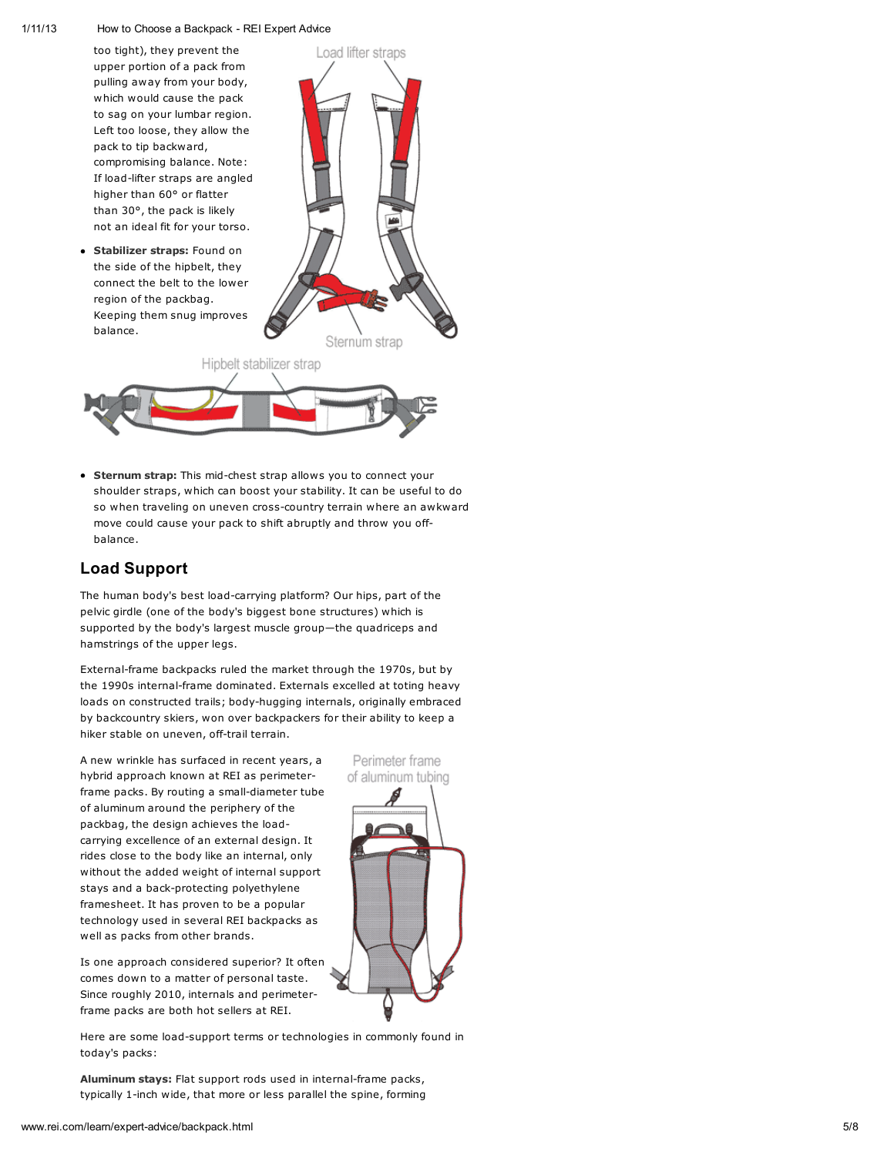too tight), they prevent the upper portion of a pack from pulling away from your body, which would cause the pack to sag on your lumbar region. Left too loose, they allow the pack to tip backward, compromising balance. Note: If load-lifter straps are angled higher than 60° or flatter than 30°, the pack is likely not an ideal fit for your torso.

**Stabilizer straps: Found on** the side of the hipbelt, they connect the belt to the lower region of the packbag. Keeping them snug improves balance.





**Sternum strap:** This mid-chest strap allows you to connect your shoulder straps, which can boost your stability. It can be useful to do so when traveling on uneven cross-country terrain where an awkward move could cause your pack to shift abruptly and throw you offbalance.

# Load Support

The human body's best load-carrying platform? Our hips, part of the pelvic girdle (one of the body's biggest bone structures) which is supported by the body's largest muscle group—the quadriceps and hamstrings of the upper legs.

External-frame backpacks ruled the market through the 1970s, but by the 1990s internal-frame dominated. Externals excelled at toting heavy loads on constructed trails; body-hugging internals, originally embraced by backcountry skiers, won over backpackers for their ability to keep a hiker stable on uneven, off-trail terrain.

A new wrinkle has surfaced in recent years, a hybrid approach known at REI as perimeterframe packs. By routing a small-diameter tube of aluminum around the periphery of the packbag, the design achieves the loadcarrying excellence of an external design. It rides close to the body like an internal, only without the added weight of internal support stays and a back-protecting polyethylene framesheet. It has proven to be a popular technology used in several REI backpacks as well as packs from other brands.

Is one approach considered superior? It often comes down to a matter of personal taste. Since roughly 2010, internals and perimeterframe packs are both hot sellers at REI.

Here are some load-support terms or technologies in commonly found in today's packs:

Aluminum stays: Flat support rods used in internal-frame packs, typically 1-inch wide, that more or less parallel the spine, forming



Perimeter frame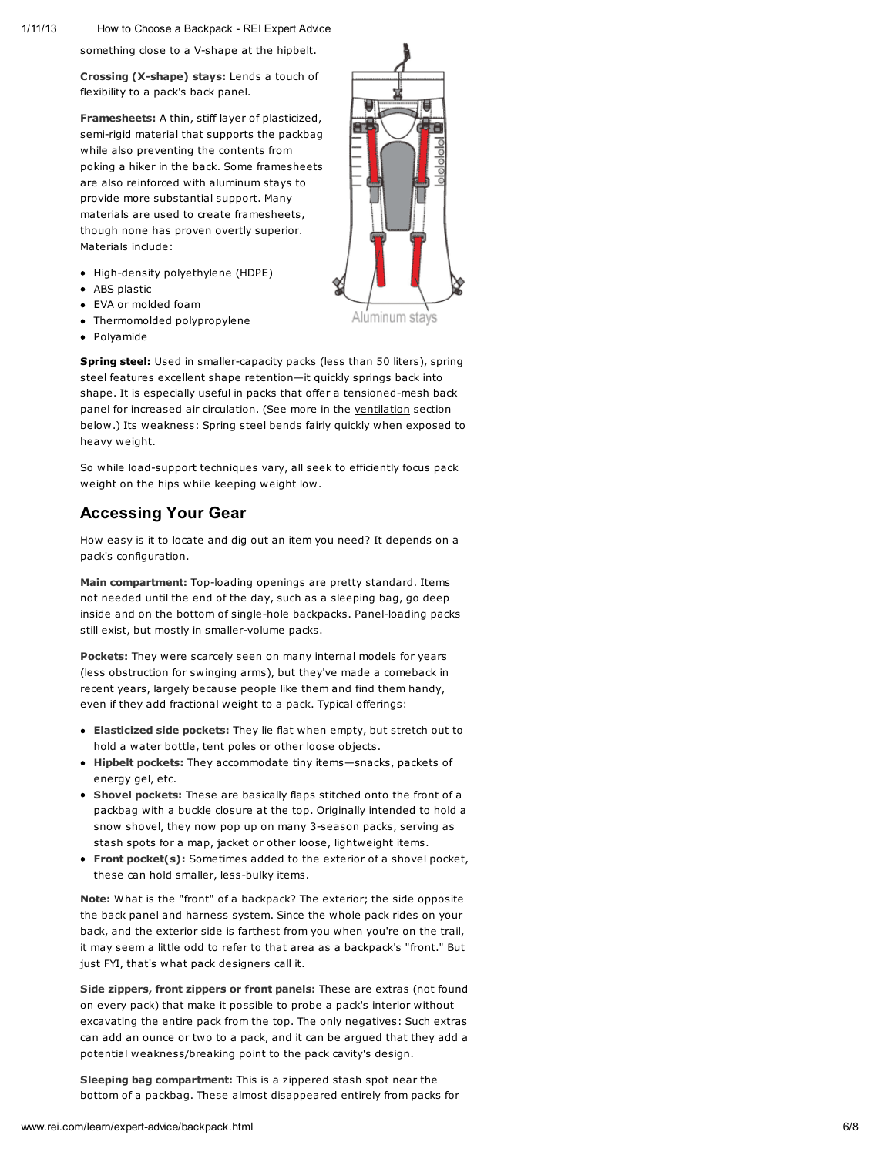1 /1 1 /1 3

How to Choose a Backpack - REI Expert Advice

something close to a V-shape at the hipbelt.

Crossing (X-shape) stays: Lends a touch of flexibility to a pack's back panel.

Framesheets: A thin, stiff layer of plasticized , semi-rigid material that supports the packbag while also preventing the contents from poking a hiker in the back. Some framesheets are also reinforced with aluminum stays to provide more substantial support. Many materials are used to create framesheets, though none has proven overtly superior. Materials include:

- High-density polyethylene (HDPE)
- ABS plastic
- EVA or molded foam
- Thermomolded polypropylene
- Polyamide

**Spring steel:** Used in smaller-capacity packs (less than 50 liters), spring steel features excellent shape retention—it quickly springs back into shape. It is especially useful in packs that offer a tensioned-mesh back panel for increased air circulation. (See more in the ven[tila](http://www.rei.com/learn/expert-advice/backpack.html#Ventilation)tion section below.) Its weakness: Spring steel bends fairly quickly when exposed to heavy weight.

So while load-support techniques vary, all seek to efficiently focus pack weight on the hips while keeping weight low.

# Accessing Your Gear

How easy is it to locate and dig out an item you need? It depends on a pack's configuration.

Main compartment: Top-loading openings are pretty standard. Items not needed until the end of the day, such as a sleeping bag, go deep inside and on the bottom of single-hole backpacks. Panel-loading pac k s still exist, but mostly in smaller-volume packs.

**Pockets:** They were scarcely seen on many internal models for years (less obstruction for swinging arms), but they've made a comeback in recent years, largely because people like them and find them handy, even if they add fractional weight to a pack. Typical offerings:

- Elasticized side pockets: They lie flat when empty, but stretch out to hold a water bottle, tent poles or other loose objects.
- Hipbelt pockets: They accommodate tiny items-snacks, packets of energy gel, etc.
- Shovel pockets: These are basically flaps stitched onto the front of a packbag with a buckle closure at the top. Originally intended to hold a snow shovel, they now pop up on many 3-season packs, serving as stash spots for a map, jacket or other loose, lightweight items.
- Front pocket(s): Sometimes added to the exterior of a shovel pocket, these can hold smaller, less-bulky items.

Note: What is the "front" of a backpack? The exterior; the side opposite the back panel and harness system. Since the whole pack rides on your back, and the exterior side is farthest from you when you're on the trail, it may seem a little odd to refer to that area as a backpack's "front." But just FYI, that's what pack designers call it.

Side zippers, front zippers or front panels: These are extras (not found on every pack) that make it possible to probe a pack's interior without excavating the entire pack from the top. The only negatives: Such extras can add an ounce or two to a pack, and it can be argued that they add a potential weakness/breaking point to the pack cavity's design.

Sleeping bag compartment: This is a zippered stash spot near the bottom of a packbag. These almost disappeared entirely from packs for

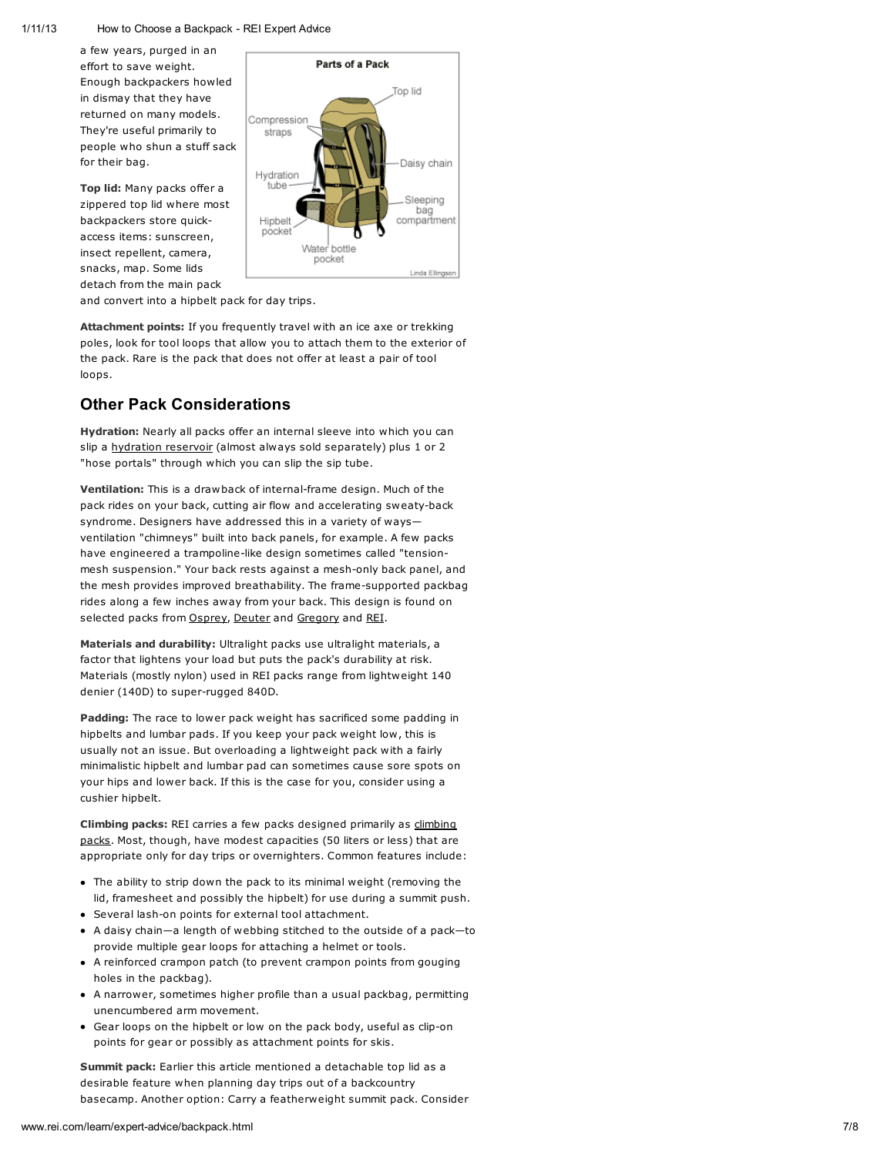a few years, purged in an effort to save weight. Enough backpackers h o wle d in dismay that they have returned on many models. They're useful primarily to people who shun a stuff sac k f o r t h eir b a g.

Top lid: Many packs offer a zippered top lid where most backpackers store quickaccess items: sunscreen, insect repellent, camera, snacks, map. Some lids detach from the main pac k



and convert into a hipbelt pack for day trips.

Attachment points: If you frequently travel with an ice axe or trekking poles, look for tool loops that allow you to attach them to the exterior of the pack. Rare is the pack that does not offer at least a pair of tool loops.

## Other Pack Considerations

Hydration: Nearly all packs offer an internal sleeve into which you can slip a hydration reserv[oir](http://www.rei.com/category/4500050) (almost always sold separately) plus 1 or 2 "hose portals" through which you can slip the sip tube.

Ventilation: This is a drawback of internal-frame design. Much of the pack rides on your back, cutting air flow and accelerating sweaty-back syndrome. Designers have addressed this in a variety of ways ventilation "chimneys" built into back panels, for example. A few packs have engineered a trampoline-like design sometimes called "tensionmesh suspension." Your back rests against a mesh-only back panel, and the mesh provides improved breathability. The frame-supported packbag rides along a few inches away from your back. This design is found on selected packs from [O](http://www.rei.com/brand/Osprey)sprey, [D](http://www.rei.com/brand/Deuter)euter and [G](http://www.rei.com/brand/Gregory)regory and [R](http://www.rei.com/brand/REI)EI.

Materials and durability: Ultralight packs use ultralight materials, a factor that lightens your load but puts the pack's durability at risk. Materials (mostly nylon) used in REI packs range from lightweight 1 4 0 denier (140D) to super-rugged 840D.

Padding: The race to lower pack weight has sacrificed some padding in hipbelts and lumbar pads. If you keep your pack weight low, this is usually not an issue. But overloading a lightweight pack with a fairly minimalistic hipbelt and lumbar pad can sometimes cause sore spots on your hips and lower back. If this is the case for you, consider using a c u s hie r hip b elt.

[Climbing](http://www.rei.com/category/4500575) packs: REI carries a few packs designed primarily as climbing packs. Most, though, have modest capacities (50 liters or less) that are appropriate only for day trips or overnighters. Common features include:

- The ability to strip down the pack to its minimal weight (removing the lid, framesheet and possibly the hipbelt) for use during a summit push.
- Several lash-on points for external tool attachment.
- A daisy chain—a length of webbing stitched to the outside of a pack—t o provide multiple gear loops for attaching a helmet or tools.
- A reinforced crampon patch (to prevent crampon points from gouging holes in the packbag).
- A narrower, sometimes higher profile than a usual packbag, permitting unencumbered arm movement.
- Gear loops on the hipbelt or low on the pack body, useful as clip-on points for gear or possibly as attachment points for skis.

Summit pack: Earlier this article mentioned a detachable top lid as a desirable feature when planning day trips out of a backcountry basecamp. Another option: Carry a featherweight summit pack. Consider